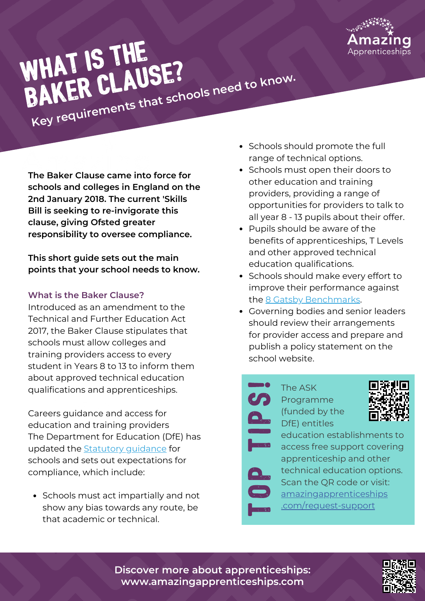

# WHAT IS THE BAKER CLAUSE? **Key requirements that schools need to know.**

**The Baker Clause came into force for schools and colleges in England on the 2nd January 2018. The current 'Skills Bill is seeking to re-invigorate this clause, giving Ofsted greater responsibility to oversee compliance.**

**This short guide sets out the main points that your school needs to know.**

### **What is the Baker Clause?**

Introduced as an amendment to the Technical and Further Education Act 2017, the Baker Clause stipulates that schools must allow colleges and training providers access to every student in Years 8 to 13 to inform them about approved technical education qualifications and apprenticeships.

Careers guidance and access for education and training providers The Department for Education (DfE) has updated the Statutory [guidance](https://assets.publishing.service.gov.uk/government/uploads/system/uploads/attachment_data/file/1002972/Careers_statutory_guidance.pdf) for schools and sets out expectations for compliance, which include:

• Schools must act impartially and not show any bias towards any route, be that academic or technical.

- Schools should promote the full range of technical options.
- Schools must open their doors to other education and training providers, providing a range of opportunities for providers to talk to all year 8 - 13 pupils about their offer.
- Pupils should be aware of the benefits of apprenticeships, T Levels and other approved technical education qualifications.
- Schools should make every effort to improve their performance against the 8 Gatsby [Benchmarks.](https://resources.careersandenterprise.co.uk/browse-category/gatsby-benchmarks)
- Governing bodies and senior leaders should review their arrangements for provider access and prepare and publish a policy statement on the school website.
	- The ASK **C<sub>O</sub>** Programme (funded by the DfE) entitles **In the Community**  $\mathbf{Q}_{\mathbf{p}}$  (TU

**GENERO O** 



education establishments to **All access free support covering** apprenticeship and other echnical education options. Scan the QR code or visit: **Community** [amazingapprenticeships](http://www.amazingapprenticeships.com/request-support) [.com/request-support](http://www.amazingapprenticeships.com/request-support)

**Discover more about apprenticeships: www.amazingapprenticeships.com**